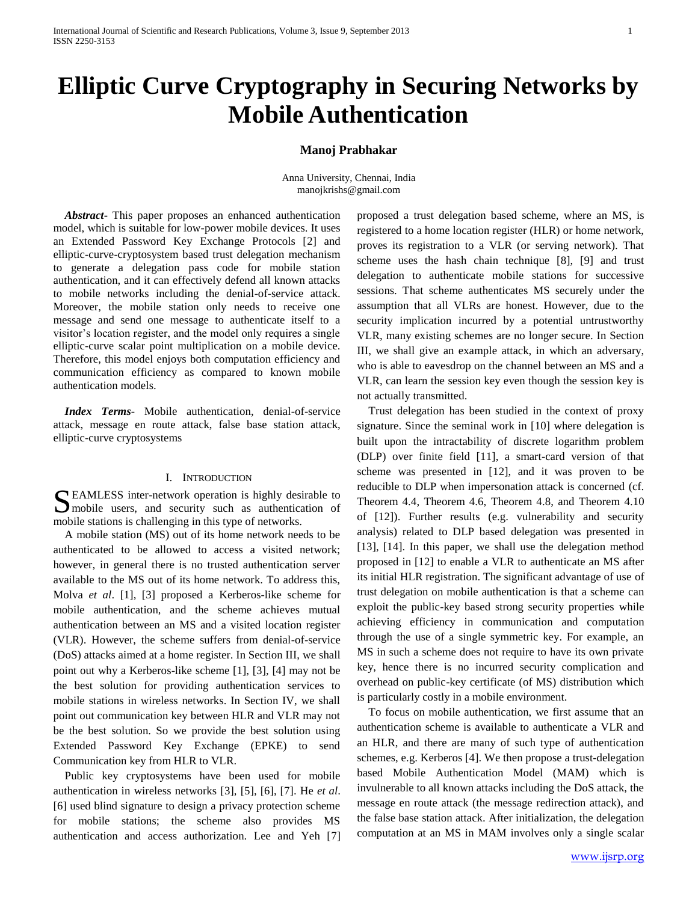# **Elliptic Curve Cryptography in Securing Networks by Mobile Authentication**

### **Manoj Prabhakar**

Anna University, Chennai, India manojkrishs@gmail.com

*Abstract***-** This paper proposes an enhanced authentication model, which is suitable for low-power mobile devices. It uses an Extended Password Key Exchange Protocols [2] and elliptic-curve-cryptosystem based trust delegation mechanism to generate a delegation pass code for mobile station authentication, and it can effectively defend all known attacks to mobile networks including the denial-of-service attack. Moreover, the mobile station only needs to receive one message and send one message to authenticate itself to a visitor's location register, and the model only requires a single elliptic-curve scalar point multiplication on a mobile device. Therefore, this model enjoys both computation efficiency and communication efficiency as compared to known mobile authentication models.

 *Index Terms*- Mobile authentication, denial-of-service attack, message en route attack, false base station attack, elliptic-curve cryptosystems

#### I. INTRODUCTION

EAMLESS inter-network operation is highly desirable to SEAMLESS inter-network operation is highly desirable to mobile users, and security such as authentication of mobile stations is challenging in this type of networks.

A mobile station (MS) out of its home network needs to be authenticated to be allowed to access a visited network; however, in general there is no trusted authentication server available to the MS out of its home network. To address this, Molva *et al*. [1], [3] proposed a Kerberos-like scheme for mobile authentication, and the scheme achieves mutual authentication between an MS and a visited location register (VLR). However, the scheme suffers from denial-of-service (DoS) attacks aimed at a home register. In Section III, we shall point out why a Kerberos-like scheme [1], [3], [4] may not be the best solution for providing authentication services to mobile stations in wireless networks. In Section IV, we shall point out communication key between HLR and VLR may not be the best solution. So we provide the best solution using Extended Password Key Exchange (EPKE) to send Communication key from HLR to VLR.

Public key cryptosystems have been used for mobile authentication in wireless networks [3], [5], [6], [7]. He *et al*. [6] used blind signature to design a privacy protection scheme for mobile stations; the scheme also provides MS authentication and access authorization. Lee and Yeh [7] proposed a trust delegation based scheme, where an MS, is registered to a home location register (HLR) or home network, proves its registration to a VLR (or serving network). That scheme uses the hash chain technique [8], [9] and trust delegation to authenticate mobile stations for successive sessions. That scheme authenticates MS securely under the assumption that all VLRs are honest. However, due to the security implication incurred by a potential untrustworthy VLR, many existing schemes are no longer secure. In Section III, we shall give an example attack, in which an adversary, who is able to eavesdrop on the channel between an MS and a VLR, can learn the session key even though the session key is not actually transmitted.

Trust delegation has been studied in the context of proxy signature. Since the seminal work in [10] where delegation is built upon the intractability of discrete logarithm problem (DLP) over finite field [11], a smart-card version of that scheme was presented in [12], and it was proven to be reducible to DLP when impersonation attack is concerned (cf. Theorem 4.4, Theorem 4.6, Theorem 4.8, and Theorem 4.10 of [12]). Further results (e.g. vulnerability and security analysis) related to DLP based delegation was presented in [13], [14]. In this paper, we shall use the delegation method proposed in [12] to enable a VLR to authenticate an MS after its initial HLR registration. The significant advantage of use of trust delegation on mobile authentication is that a scheme can exploit the public-key based strong security properties while achieving efficiency in communication and computation through the use of a single symmetric key. For example, an MS in such a scheme does not require to have its own private key, hence there is no incurred security complication and overhead on public-key certificate (of MS) distribution which is particularly costly in a mobile environment.

To focus on mobile authentication, we first assume that an authentication scheme is available to authenticate a VLR and an HLR, and there are many of such type of authentication schemes, e.g. Kerberos [4]. We then propose a trust-delegation based Mobile Authentication Model (MAM) which is invulnerable to all known attacks including the DoS attack, the message en route attack (the message redirection attack), and the false base station attack. After initialization, the delegation computation at an MS in MAM involves only a single scalar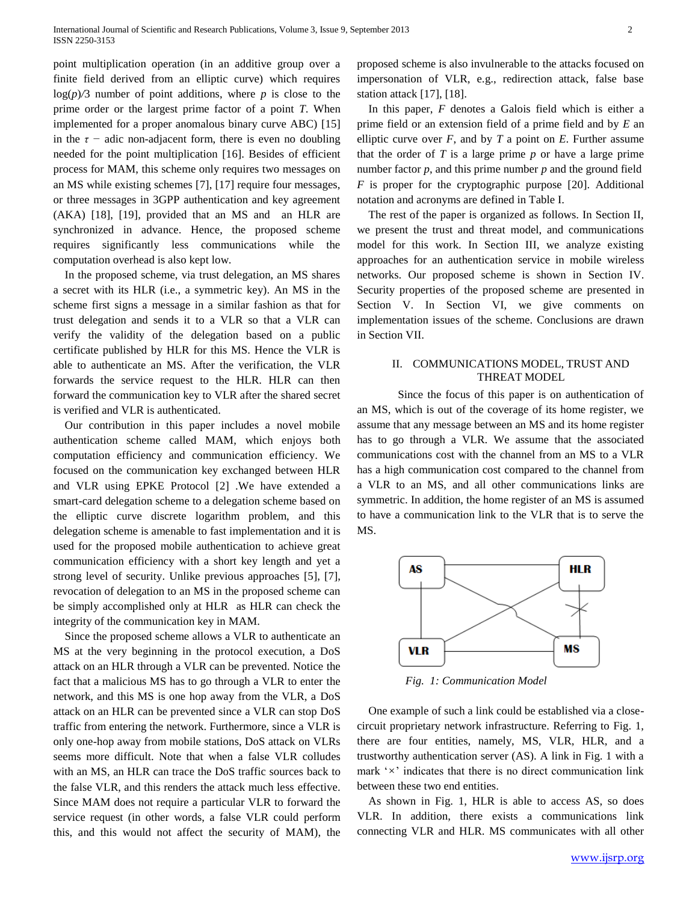point multiplication operation (in an additive group over a finite field derived from an elliptic curve) which requires  $log(p)/3$  number of point additions, where p is close to the prime order or the largest prime factor of a point *T*. When implemented for a proper anomalous binary curve ABC) [15] in the  $\tau$  – adic non-adjacent form, there is even no doubling needed for the point multiplication [16]. Besides of efficient process for MAM, this scheme only requires two messages on an MS while existing schemes [7], [17] require four messages, or three messages in 3GPP authentication and key agreement (AKA) [18], [19], provided that an MS and an HLR are synchronized in advance. Hence, the proposed scheme requires significantly less communications while the computation overhead is also kept low.

In the proposed scheme, via trust delegation, an MS shares a secret with its HLR (i.e., a symmetric key). An MS in the scheme first signs a message in a similar fashion as that for trust delegation and sends it to a VLR so that a VLR can verify the validity of the delegation based on a public certificate published by HLR for this MS. Hence the VLR is able to authenticate an MS. After the verification, the VLR forwards the service request to the HLR. HLR can then forward the communication key to VLR after the shared secret is verified and VLR is authenticated.

Our contribution in this paper includes a novel mobile authentication scheme called MAM, which enjoys both computation efficiency and communication efficiency. We focused on the communication key exchanged between HLR and VLR using EPKE Protocol [2] .We have extended a smart-card delegation scheme to a delegation scheme based on the elliptic curve discrete logarithm problem, and this delegation scheme is amenable to fast implementation and it is used for the proposed mobile authentication to achieve great communication efficiency with a short key length and yet a strong level of security. Unlike previous approaches [5], [7], revocation of delegation to an MS in the proposed scheme can be simply accomplished only at HLR as HLR can check the integrity of the communication key in MAM.

Since the proposed scheme allows a VLR to authenticate an MS at the very beginning in the protocol execution, a DoS attack on an HLR through a VLR can be prevented. Notice the fact that a malicious MS has to go through a VLR to enter the network, and this MS is one hop away from the VLR, a DoS attack on an HLR can be prevented since a VLR can stop DoS traffic from entering the network. Furthermore, since a VLR is only one-hop away from mobile stations, DoS attack on VLRs seems more difficult. Note that when a false VLR colludes with an MS, an HLR can trace the DoS traffic sources back to the false VLR, and this renders the attack much less effective. Since MAM does not require a particular VLR to forward the service request (in other words, a false VLR could perform this, and this would not affect the security of MAM), the

proposed scheme is also invulnerable to the attacks focused on impersonation of VLR, e.g., redirection attack, false base station attack [17], [18].

In this paper, *F* denotes a Galois field which is either a prime field or an extension field of a prime field and by *E* an elliptic curve over  $F$ , and by  $T$  a point on  $E$ . Further assume that the order of *T* is a large prime *p* or have a large prime number factor *p*, and this prime number *p* and the ground field *F* is proper for the cryptographic purpose [20]. Additional notation and acronyms are defined in Table I.

The rest of the paper is organized as follows. In Section II, we present the trust and threat model, and communications model for this work. In Section III, we analyze existing approaches for an authentication service in mobile wireless networks. Our proposed scheme is shown in Section IV. Security properties of the proposed scheme are presented in Section V. In Section VI, we give comments on implementation issues of the scheme. Conclusions are drawn in Section VII.

# II. COMMUNICATIONS MODEL, TRUST AND THREAT MODEL

Since the focus of this paper is on authentication of an MS, which is out of the coverage of its home register, we assume that any message between an MS and its home register has to go through a VLR. We assume that the associated communications cost with the channel from an MS to a VLR has a high communication cost compared to the channel from a VLR to an MS, and all other communications links are symmetric. In addition, the home register of an MS is assumed to have a communication link to the VLR that is to serve the MS.



*Fig. 1: Communication Model*

One example of such a link could be established via a closecircuit proprietary network infrastructure. Referring to Fig. 1, there are four entities, namely, MS, VLR, HLR, and a trustworthy authentication server (AS). A link in Fig. 1 with a mark '*×*' indicates that there is no direct communication link between these two end entities.

As shown in Fig. 1, HLR is able to access AS, so does VLR. In addition, there exists a communications link connecting VLR and HLR. MS communicates with all other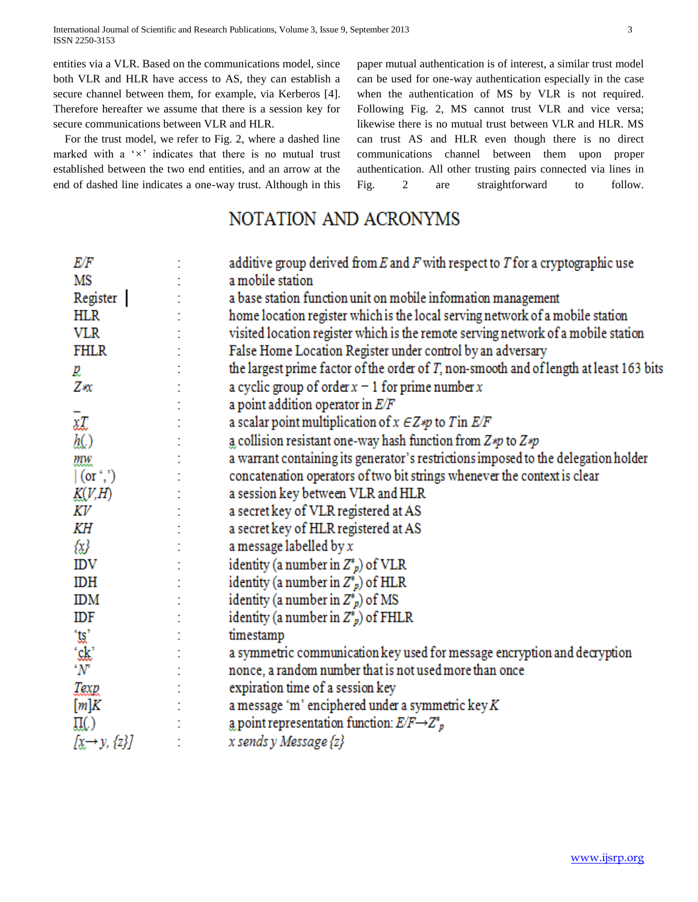International Journal of Scientific and Research Publications, Volume 3, Issue 9, September 2013 3 ISSN 2250-3153

entities via a VLR. Based on the communications model, since both VLR and HLR have access to AS, they can establish a secure channel between them, for example, via Kerberos [4]. Therefore hereafter we assume that there is a session key for secure communications between VLR and HLR.

For the trust model, we refer to Fig. 2, where a dashed line marked with a '*×*' indicates that there is no mutual trust established between the two end entities, and an arrow at the end of dashed line indicates a one-way trust. Although in this paper mutual authentication is of interest, a similar trust model can be used for one-way authentication especially in the case when the authentication of MS by VLR is not required. Following Fig. 2, MS cannot trust VLR and vice versa; likewise there is no mutual trust between VLR and HLR. MS can trust AS and HLR even though there is no direct communications channel between them upon proper authentication. All other trusting pairs connected via lines in Fig. 2 are straightforward to follow.

# NOTATION AND ACRONYMS

| E/F                                                                                                                                                                                                                                    | additive group derived from $E$ and $F$ with respect to $T$ for a cryptographic use       |
|----------------------------------------------------------------------------------------------------------------------------------------------------------------------------------------------------------------------------------------|-------------------------------------------------------------------------------------------|
| MS                                                                                                                                                                                                                                     | a mobile station                                                                          |
| Register                                                                                                                                                                                                                               | a base station function unit on mobile information management                             |
| HLR                                                                                                                                                                                                                                    | home location register which is the local serving network of a mobile station             |
| <b>VLR</b>                                                                                                                                                                                                                             | visited location register which is the remote serving network of a mobile station         |
| FHLR                                                                                                                                                                                                                                   | False Home Location Register under control by an adversary                                |
| p,                                                                                                                                                                                                                                     | the largest prime factor of the order of $T$ , non-smooth and of length at least 163 bits |
| Ζæ                                                                                                                                                                                                                                     | a cyclic group of order $x - 1$ for prime number x                                        |
|                                                                                                                                                                                                                                        | a point addition operator in $E/F$                                                        |
|                                                                                                                                                                                                                                        | a scalar point multiplication of $x \in Z$ *p to T in $E/F$                               |
| $\bar{x}$<br>$\bar{y}$                                                                                                                                                                                                                 | a collision resistant one-way hash function from $Z \ast p$ to $Z \ast p$                 |
|                                                                                                                                                                                                                                        | a warrant containing its generator's restrictions imposed to the delegation holder        |
| $\frac{mw}{(or',')}$                                                                                                                                                                                                                   | concatenation operators of two bit strings whenever the context is clear                  |
| K(V,H)                                                                                                                                                                                                                                 | a session key between VLR and HLR                                                         |
| ΚV                                                                                                                                                                                                                                     | a secret key of VLR registered at AS                                                      |
| KН                                                                                                                                                                                                                                     | a secret key of HLR registered at AS                                                      |
| {x}                                                                                                                                                                                                                                    | a message labelled by $x$                                                                 |
| IDV                                                                                                                                                                                                                                    | identity (a number in $Z^*_{p}$ ) of VLR                                                  |
| IDH                                                                                                                                                                                                                                    | identity (a number in $Z^*_{p}$ ) of HLR                                                  |
| ΙDΜ                                                                                                                                                                                                                                    | identity (a number in $Z^*_{p}$ ) of MS                                                   |
| IDF                                                                                                                                                                                                                                    | identity (a number in $Z^*_{p}$ ) of FHLR                                                 |
| $\begin{array}{l} \stackrel{\cdot\cdot\cdot}{\mathsf{g}}\ \stackrel{\cdot\cdot\cdot}{\mathsf{g}}\ \stackrel{\cdot\cdot\cdot}{\mathsf{g}}\ \stackrel{\cdot\cdot\cdot}{\mathsf{w}}\ \stackrel{\cdot\cdot\cdot}{\mathsf{w}}\ \end{array}$ | timestamp                                                                                 |
|                                                                                                                                                                                                                                        | a symmetric communication key used for message encryption and decryption                  |
|                                                                                                                                                                                                                                        | nonce, a random number that is not used more than once                                    |
| Texp                                                                                                                                                                                                                                   | expiration time of a session key                                                          |
| [m]K                                                                                                                                                                                                                                   | a message 'm' enciphered under a symmetric $\text{key } K$                                |
| Щ.)                                                                                                                                                                                                                                    | a point representation function: $E/F \rightarrow Z^*_{p}$                                |
| $[x \rightarrow y, \{z\}]$                                                                                                                                                                                                             | x sends y Message {z}                                                                     |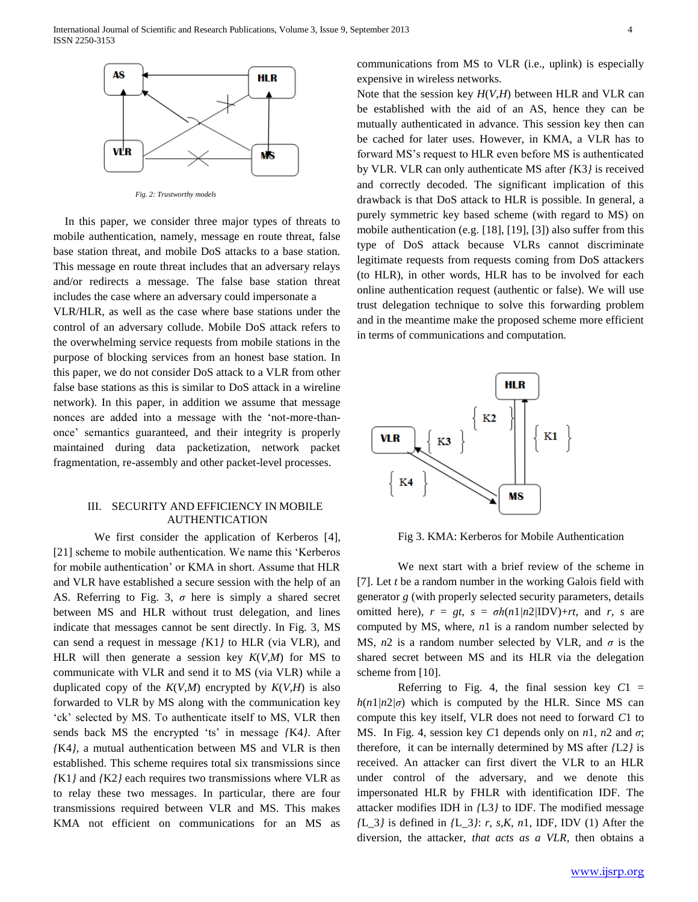

*Fig. 2: Trustworthy models*

In this paper, we consider three major types of threats to mobile authentication, namely, message en route threat, false base station threat, and mobile DoS attacks to a base station. This message en route threat includes that an adversary relays and/or redirects a message. The false base station threat includes the case where an adversary could impersonate a

VLR/HLR, as well as the case where base stations under the control of an adversary collude. Mobile DoS attack refers to the overwhelming service requests from mobile stations in the purpose of blocking services from an honest base station. In this paper, we do not consider DoS attack to a VLR from other false base stations as this is similar to DoS attack in a wireline network). In this paper, in addition we assume that message nonces are added into a message with the 'not-more-thanonce' semantics guaranteed, and their integrity is properly maintained during data packetization, network packet fragmentation, re-assembly and other packet-level processes.

# III. SECURITY AND EFFICIENCY IN MOBILE AUTHENTICATION

We first consider the application of Kerberos [4], [21] scheme to mobile authentication. We name this 'Kerberos for mobile authentication' or KMA in short. Assume that HLR and VLR have established a secure session with the help of an AS. Referring to Fig. 3, *σ* here is simply a shared secret between MS and HLR without trust delegation, and lines indicate that messages cannot be sent directly. In Fig. 3, MS can send a request in message *{*K1*}* to HLR (via VLR), and HLR will then generate a session key *K*(*V,M*) for MS to communicate with VLR and send it to MS (via VLR) while a duplicated copy of the  $K(V,M)$  encrypted by  $K(V,H)$  is also forwarded to VLR by MS along with the communication key 'ck' selected by MS. To authenticate itself to MS, VLR then sends back MS the encrypted 'ts' in message *{*K4*}*. After *{*K4*}*, a mutual authentication between MS and VLR is then established. This scheme requires total six transmissions since *{*K1*}* and *{*K2*}* each requires two transmissions where VLR as to relay these two messages. In particular, there are four transmissions required between VLR and MS. This makes KMA not efficient on communications for an MS as

communications from MS to VLR (i.e., uplink) is especially expensive in wireless networks.

Note that the session key *H*(*V,H*) between HLR and VLR can be established with the aid of an AS, hence they can be mutually authenticated in advance. This session key then can be cached for later uses. However, in KMA, a VLR has to forward MS's request to HLR even before MS is authenticated by VLR. VLR can only authenticate MS after *{*K3*}* is received and correctly decoded. The significant implication of this drawback is that DoS attack to HLR is possible. In general, a purely symmetric key based scheme (with regard to MS) on mobile authentication (e.g. [18], [19], [3]) also suffer from this type of DoS attack because VLRs cannot discriminate legitimate requests from requests coming from DoS attackers (to HLR), in other words, HLR has to be involved for each online authentication request (authentic or false). We will use trust delegation technique to solve this forwarding problem and in the meantime make the proposed scheme more efficient in terms of communications and computation.



Fig 3. KMA: Kerberos for Mobile Authentication

We next start with a brief review of the scheme in [7]. Let *t* be a random number in the working Galois field with generator *g* (with properly selected security parameters, details omitted here),  $r = gt$ ,  $s = \sigma h(n1/n2/IDV) + rt$ , and *r*, *s* are computed by MS, where, *n*1 is a random number selected by MS, *n*2 is a random number selected by VLR, and *σ* is the shared secret between MS and its HLR via the delegation scheme from [10].

Referring to Fig. 4, the final session key  $C1 =$  $h(n)/n/2/\sigma$  which is computed by the HLR. Since MS can compute this key itself, VLR does not need to forward *C*1 to MS. In Fig. 4, session key *C*1 depends only on  $n_1$ ,  $n_2$  and  $\sigma$ ; therefore, it can be internally determined by MS after *{*L2*}* is received. An attacker can first divert the VLR to an HLR under control of the adversary, and we denote this impersonated HLR by FHLR with identification IDF. The attacker modifies IDH in *{*L3*}* to IDF. The modified message *{*L*\_*3*}* is defined in *{*L*\_*3*}*: *r, s,K, n*1*,* IDF*,* IDV (1) After the diversion, the attacker, *that acts as a VLR*, then obtains a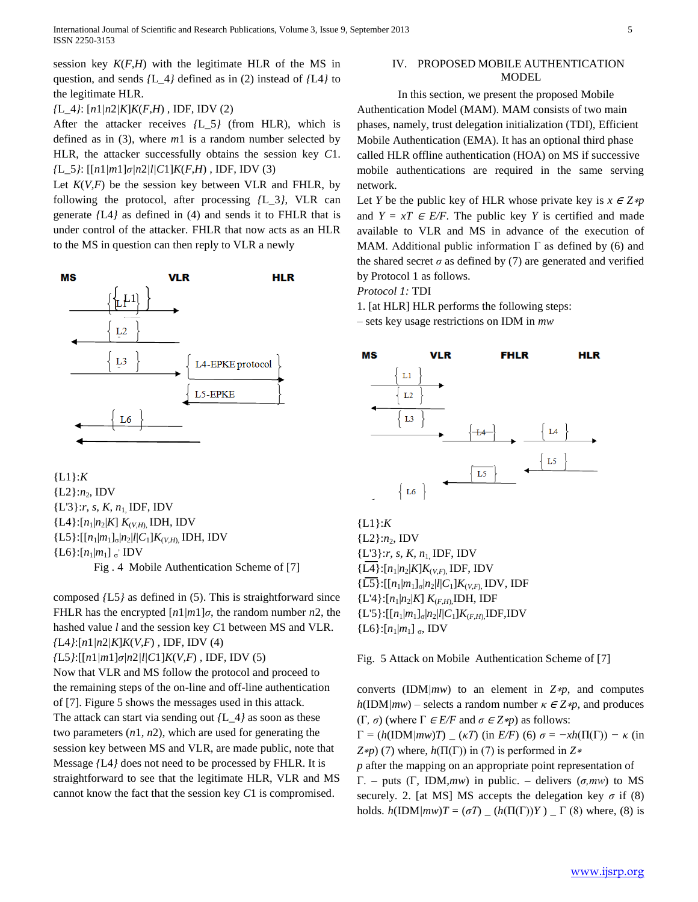*{*L*\_*4*}*: [*n*1*|n*2*|K*]*K*(*F,H*) *,* IDF*,* IDV (2)

After the attacker receives *{*L*\_*5*}* (from HLR), which is defined as in (3), where *m*1 is a random number selected by HLR, the attacker successfully obtains the session key *C*1. *{*L*\_*5*}*: [[*n*1*|m*1]*σ|n*2*|l|C*1]*K*(*F,H*) *,* IDF*,* IDV (3)

Let  $K(V, F)$  be the session key between VLR and FHLR, by following the protocol, after processing *{*L*\_*3*}*, VLR can generate *{*L4*}* as defined in (4) and sends it to FHLR that is under control of the attacker. FHLR that now acts as an HLR to the MS in question can then reply to VLR a newly



{L1}:*K*  ${L2}:n_2, IDV$ {L'3}:*r, s, K, n*1, IDF, IDV  ${L4}:$ [ $n_1 | n_2 | K$ ]  $K_{(V,H)}$ , IDH, IDV  ${L5}$ :[[ $n_1|m_1]_{\sigma}$ | $n_2|l|C_1]K_{(V,H)}$ , IDH, IDV  ${L6}$ : $[n_1|m_1]$  σ' IDV Fig . 4 Mobile Authentication Scheme of [7]

composed *{*L5*}* as defined in (5). This is straightforward since FHLR has the encrypted  $\lceil n \cdot 1/m \rceil \sigma$ , the random number *n*2, the hashed value *l* and the session key *C*1 between MS and VLR. *{*L4*}*:[*n*1*|n*2*|K*]*K*(*V,F*) *,* IDF*,* IDV (4) *{*L5*}*:[[*n*1*|m*1]*σ|n*2*|l|C*1]*K*(*V,F*) *,* IDF*,* IDV (5) Now that VLR and MS follow the protocol and proceed to

the remaining steps of the on-line and off-line authentication of [7]. Figure 5 shows the messages used in this attack. The attack can start via sending out *{*L*\_*4*}* as soon as these two parameters (*n*1*, n*2), which are used for generating the session key between MS and VLR, are made public, note that Message *{*L4*}* does not need to be processed by FHLR. It is straightforward to see that the legitimate HLR, VLR and MS cannot know the fact that the session key *C*1 is compromised.

# IV. PROPOSED MOBILE AUTHENTICATION MODEL

In this section, we present the proposed Mobile Authentication Model (MAM). MAM consists of two main phases, namely, trust delegation initialization (TDI), Efficient Mobile Authentication (EMA). It has an optional third phase called HLR offline authentication (HOA) on MS if successive mobile authentications are required in the same serving network.

Let *Y* be the public key of HLR whose private key is  $x \in Z * p$ and  $Y = xT \in E/F$ . The public key *Y* is certified and made available to VLR and MS in advance of the execution of MAM. Additional public information  $\Gamma$  as defined by (6) and the shared secret  $\sigma$  as defined by (7) are generated and verified by Protocol 1 as follows.

*Protocol 1:* TDI

1. [at HLR] HLR performs the following steps:

– sets key usage restrictions on IDM in *mw*



{L1}:*K*  ${L2}.n_2, IDV$ {L'3}:*r, s, K, n*1, IDF, IDV  ${L4}:$ [ $n_1 | n_2 | K$ ] $K_{(V,F)}$ , IDF, IDV  ${L5}$ :[[ $n_1|m_1]_{\sigma}$ | $n_2$ | $l$ | $C_1$ ] $K_{(V,F)}$ , IDV, IDF  ${L'4}:$ [ $n_1|n_2|K$ ]  $K_{(F,H)}$ ,IDH, IDF  ${L'5}$ :[[ $n_1|m_1]_{\sigma}$ | $n_2|l|C_1]K_{(F,H)}$ ,IDF,IDV  ${L6}$ :[ $n_1|m_1$ ] <sub>σ</sub>, IDV

Fig. 5 Attack on Mobile Authentication Scheme of [7]

converts (IDM*|mw*) to an element in *Z*∗*p*, and computes  $h(\text{IDM}/mw)$  – selects a random number  $\kappa \in \mathbb{Z} * p$ , and produces (Γ*, σ*) (where Γ <sup>∈</sup> *E/F* and *σ* <sup>∈</sup> *Z*∗*p*) as follows:

 $\Gamma = (h(\text{IDM}/mw)T)$   $(\kappa T)$  (in *E/F*) (6)  $\sigma = -xh(\Pi(\Gamma)) - \kappa$  (in *Z*∗*p*) (7) where, *h*(Π(Γ)) in (7) is performed in *Z*<sup>∗</sup>

*p* after the mapping on an appropriate point representation of Γ. – puts (Γ*,* IDM*,mw*) in public. – delivers (*σ,mw*) to MS securely. 2. [at MS] MS accepts the delegation key  $\sigma$  if (8) holds.  $h(\text{IDM}/mw)T = (\sigma T)$   $(h(\Pi(\Gamma))Y)$   $\Gamma$  (8) where, (8) is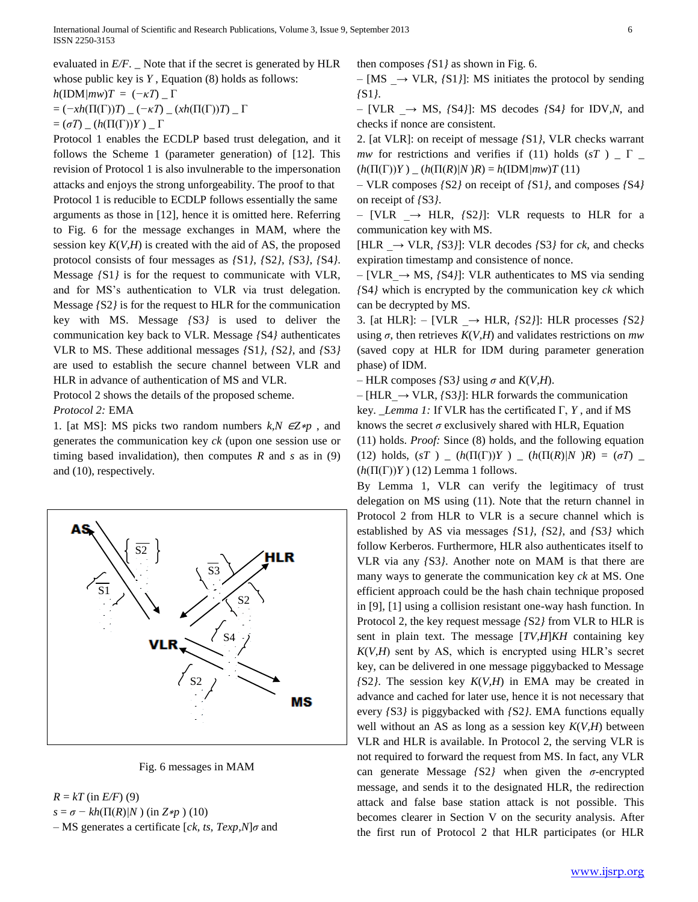evaluated in *E/F*. \_ Note that if the secret is generated by HLR whose public key is *Y* , Equation (8) holds as follows:

 $h(\text{IDM}/mw)T = (-\kappa T)$  *\_* Γ

= (*−xh*(Π(Γ))*T*) *\_* (*−κT*) *\_* (*xh*(Π(Γ))*T*) *\_* Γ

 $= (\sigma T)$   $\Delta$  ( $h(\Pi(\Gamma))Y$ )  $\Delta$   $\Gamma$ 

Protocol 1 enables the ECDLP based trust delegation, and it follows the Scheme 1 (parameter generation) of [12]. This revision of Protocol 1 is also invulnerable to the impersonation attacks and enjoys the strong unforgeability. The proof to that Protocol 1 is reducible to ECDLP follows essentially the same arguments as those in [12], hence it is omitted here. Referring to Fig. 6 for the message exchanges in MAM, where the session key  $K(V, H)$  is created with the aid of AS, the proposed protocol consists of four messages as *{*S1*}*, *{*S2*}*, *{*S3*}*, *{*S4*}*. Message *{*S1*}* is for the request to communicate with VLR, and for MS's authentication to VLR via trust delegation. Message *{*S2*}* is for the request to HLR for the communication key with MS. Message *{*S3*}* is used to deliver the communication key back to VLR. Message *{*S4*}* authenticates VLR to MS. These additional messages *{*S1*}*, *{*S2*}*, and *{*S3*}*  are used to establish the secure channel between VLR and HLR in advance of authentication of MS and VLR.

Protocol 2 shows the details of the proposed scheme.

#### *Protocol 2:* EMA

1. [at MS]: MS picks two random numbers *k,N* ∈*Z*∗*p* , and generates the communication key *ck* (upon one session use or timing based invalidation), then computes *R* and *s* as in (9) and (10), respectively.



Fig. 6 messages in MAM

 $R = kT$  (in *E/F*) (9)

 $s = σ - kh(Π(R)/N)$  (in  $Z \ast p$ ) (10)

– MS generates a certificate [*ck, ts, Texp,N*]*σ* and

then composes *{*S1*}* as shown in Fig. 6.

– [MS *\_→* VLR, *{*S1*}*]: MS initiates the protocol by sending *{*S1*}*.

– [VLR *\_→* MS, *{*S4*}*]: MS decodes *{*S4*}* for IDV*,N*, and checks if nonce are consistent.

2. [at VLR]: on receipt of message *{*S1*}*, VLR checks warrant *mw* for restrictions and verifies if (11) holds ( $sT$ )  $\Gamma$   $\Gamma$  $(h(\Pi(\Gamma))Y)$  *\_*  $(h(\Pi(R)/N)R) = h(\text{IDM}/mw)T(11)$ 

– VLR composes *{*S2*}* on receipt of *{*S1*}*, and composes *{*S4*}*  on receipt of *{*S3*}*.

– [VLR *\_→* HLR, *{*S2*}*]: VLR requests to HLR for a communication key with MS.

[HLR *\_→* VLR, *{*S3*}*]: VLR decodes *{*S3*}* for *ck*, and checks expiration timestamp and consistence of nonce.

– [VLR*\_→* MS, *{*S4*}*]: VLR authenticates to MS via sending *{*S4*}* which is encrypted by the communication key *ck* which can be decrypted by MS.

3. [at HLR]: – [VLR *\_→* HLR, *{*S2*}*]: HLR processes *{*S2*}*  using  $\sigma$ , then retrieves  $K(V, H)$  and validates restrictions on *mw* (saved copy at HLR for IDM during parameter generation phase) of IDM.

 $-$  HLR composes *{*S3*}* using  $\sigma$  and *K(V,H)*.

– [HLR*\_→* VLR, *{*S3*}*]: HLR forwards the communication key. \_*Lemma 1:* If VLR has the certificated Γ, *Y* , and if MS knows the secret *σ* exclusively shared with HLR, Equation (11) holds. *Proof:* Since (8) holds, and the following equation (12) holds,  $(sT)$  *\_*  $(h(\Pi(\Gamma))Y)$  *\_*  $(h(\Pi(R)/N)R) = (\sigma T)$  *\_*  $(h(\Pi(\Gamma))Y)$  (12) Lemma 1 follows.

By Lemma 1, VLR can verify the legitimacy of trust delegation on MS using (11). Note that the return channel in Protocol 2 from HLR to VLR is a secure channel which is established by AS via messages *{*S1*}*, *{*S2*}*, and *{*S3*}* which follow Kerberos. Furthermore, HLR also authenticates itself to VLR via any *{*S3*}*. Another note on MAM is that there are many ways to generate the communication key *ck* at MS. One efficient approach could be the hash chain technique proposed in [9], [1] using a collision resistant one-way hash function. In Protocol 2, the key request message *{*S2*}* from VLR to HLR is sent in plain text. The message [*TV,H*]*KH* containing key  $K(V, H)$  sent by AS, which is encrypted using HLR's secret key, can be delivered in one message piggybacked to Message *{*S2*}*. The session key *K*(*V,H*) in EMA may be created in advance and cached for later use, hence it is not necessary that every *{*S3*}* is piggybacked with *{*S2*}*. EMA functions equally well without an AS as long as a session key *K*(*V,H*) between VLR and HLR is available. In Protocol 2, the serving VLR is not required to forward the request from MS. In fact, any VLR can generate Message *{*S2*}* when given the *σ*-encrypted message, and sends it to the designated HLR, the redirection attack and false base station attack is not possible. This becomes clearer in Section V on the security analysis. After the first run of Protocol 2 that HLR participates (or HLR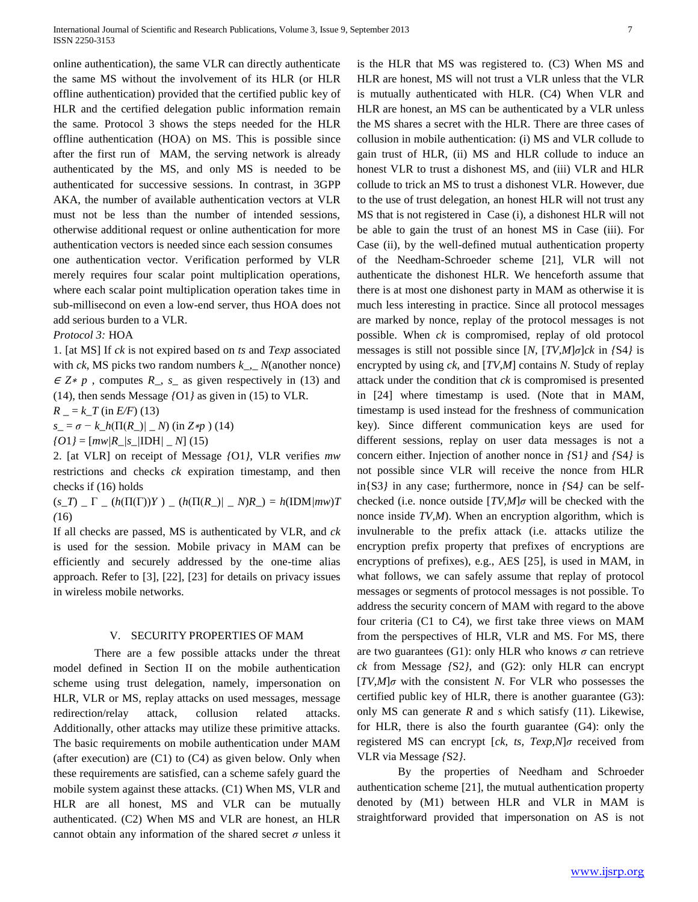online authentication), the same VLR can directly authenticate the same MS without the involvement of its HLR (or HLR offline authentication) provided that the certified public key of HLR and the certified delegation public information remain the same. Protocol 3 shows the steps needed for the HLR offline authentication (HOA) on MS. This is possible since after the first run of MAM, the serving network is already authenticated by the MS, and only MS is needed to be authenticated for successive sessions. In contrast, in 3GPP AKA, the number of available authentication vectors at VLR must not be less than the number of intended sessions, otherwise additional request or online authentication for more authentication vectors is needed since each session consumes one authentication vector. Verification performed by VLR merely requires four scalar point multiplication operations,

where each scalar point multiplication operation takes time in sub-millisecond on even a low-end server, thus HOA does not add serious burden to a VLR.

#### *Protocol 3:* HOA

1. [at MS] If *ck* is not expired based on *ts* and *Texp* associated with *ck*, MS picks two random numbers *k\_,*\_ *N*(another nonce) <sup>∈</sup> *Z*<sup>∗</sup> *p* , computes *R\_, s\_* as given respectively in (13) and (14), then sends Message *{*O1*}* as given in (15) to VLR.

 $R = k_T$  (in *E*/*F*) (13)

 $s_{-} = \sigma - k_h(\Pi(R_{-})/ - N)$  (in  $Z \neq p$ ) (14)

 $f(01) = [mw/R/s/DHH/M(15)]$ 

2. [at VLR] on receipt of Message *{*O1*}*, VLR verifies *mw*  restrictions and checks *ck* expiration timestamp, and then checks if (16) holds

 $(s_T)$   $\Gamma$   $\Gamma$   $\Gamma$   $(h(\Pi(\Gamma))Y)$   $\Gamma$   $(h(\Pi(R_-)/N)R_-) = h(\Pi M/mw)T$ *(*16)

If all checks are passed, MS is authenticated by VLR, and *ck*  is used for the session. Mobile privacy in MAM can be efficiently and securely addressed by the one-time alias approach. Refer to [3], [22], [23] for details on privacy issues in wireless mobile networks.

#### V. SECURITY PROPERTIES OF MAM

There are a few possible attacks under the threat model defined in Section II on the mobile authentication scheme using trust delegation, namely, impersonation on HLR, VLR or MS, replay attacks on used messages, message redirection/relay attack, collusion related attacks. Additionally, other attacks may utilize these primitive attacks. The basic requirements on mobile authentication under MAM (after execution) are  $(C1)$  to  $(C4)$  as given below. Only when these requirements are satisfied, can a scheme safely guard the mobile system against these attacks. (C1) When MS, VLR and HLR are all honest, MS and VLR can be mutually authenticated. (C2) When MS and VLR are honest, an HLR cannot obtain any information of the shared secret *σ* unless it

is the HLR that MS was registered to. (C3) When MS and HLR are honest, MS will not trust a VLR unless that the VLR is mutually authenticated with HLR. (C4) When VLR and HLR are honest, an MS can be authenticated by a VLR unless the MS shares a secret with the HLR. There are three cases of collusion in mobile authentication: (i) MS and VLR collude to gain trust of HLR, (ii) MS and HLR collude to induce an honest VLR to trust a dishonest MS, and (iii) VLR and HLR collude to trick an MS to trust a dishonest VLR. However, due to the use of trust delegation, an honest HLR will not trust any MS that is not registered in Case (i), a dishonest HLR will not be able to gain the trust of an honest MS in Case (iii). For Case (ii), by the well-defined mutual authentication property of the Needham-Schroeder scheme [21], VLR will not authenticate the dishonest HLR. We henceforth assume that there is at most one dishonest party in MAM as otherwise it is much less interesting in practice. Since all protocol messages are marked by nonce, replay of the protocol messages is not possible. When *ck* is compromised, replay of old protocol messages is still not possible since [*N,* [*TV,M*]*σ*]*ck* in *{*S4*}* is encrypted by using *ck*, and [*TV,M*] contains *N*. Study of replay attack under the condition that *ck* is compromised is presented in [24] where timestamp is used. (Note that in MAM, timestamp is used instead for the freshness of communication key). Since different communication keys are used for different sessions, replay on user data messages is not a concern either. Injection of another nonce in *{*S1*}* and *{*S4*}* is not possible since VLR will receive the nonce from HLR in{S3*}* in any case; furthermore, nonce in *{*S4*}* can be selfchecked (i.e. nonce outside [*TV,M*]*σ* will be checked with the nonce inside *TV,M*). When an encryption algorithm, which is invulnerable to the prefix attack (i.e. attacks utilize the encryption prefix property that prefixes of encryptions are encryptions of prefixes), e.g., AES [25], is used in MAM, in what follows, we can safely assume that replay of protocol messages or segments of protocol messages is not possible. To address the security concern of MAM with regard to the above four criteria (C1 to C4), we first take three views on MAM from the perspectives of HLR, VLR and MS. For MS, there are two guarantees (G1): only HLR who knows *σ* can retrieve *ck* from Message *{*S2*}*, and (G2): only HLR can encrypt [*TV,M*]*σ* with the consistent *N*. For VLR who possesses the certified public key of HLR, there is another guarantee (G3): only MS can generate *R* and *s* which satisfy (11). Likewise, for HLR, there is also the fourth guarantee (G4): only the registered MS can encrypt [*ck, ts, Texp,N*]*σ* received from VLR via Message *{*S2*}*.

By the properties of Needham and Schroeder authentication scheme [21], the mutual authentication property denoted by (M1) between HLR and VLR in MAM is straightforward provided that impersonation on AS is not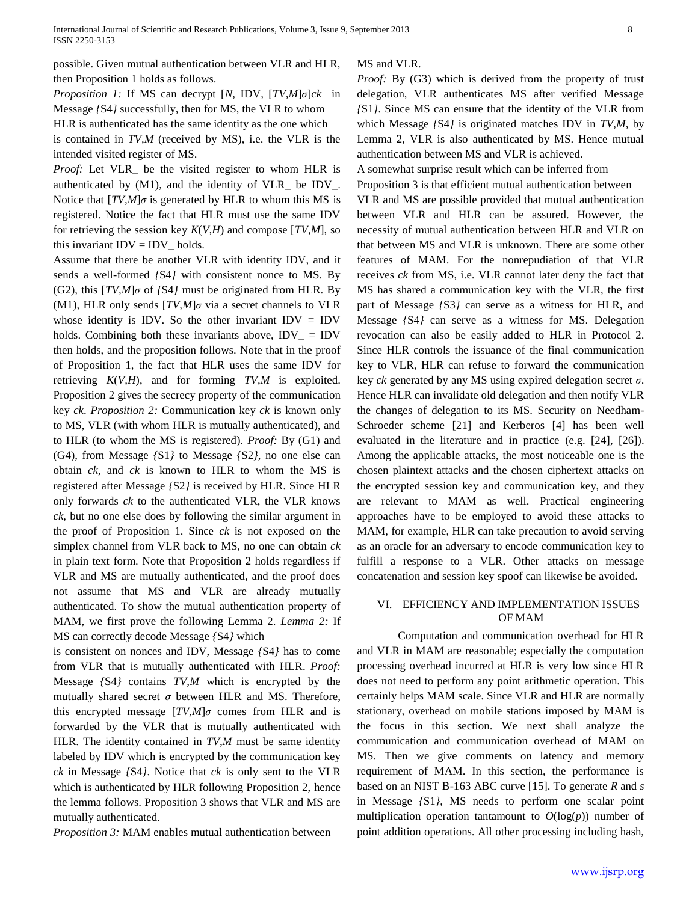possible. Given mutual authentication between VLR and HLR, then Proposition 1 holds as follows.

*Proposition 1:* If MS can decrypt [*N,* IDV*,* [*TV,M*]*σ*]*ck* in Message *{*S4*}* successfully, then for MS, the VLR to whom

HLR is authenticated has the same identity as the one which

is contained in *TV,M* (received by MS), i.e. the VLR is the intended visited register of MS.

*Proof:* Let VLR*\_* be the visited register to whom HLR is authenticated by (M1), and the identity of VLR*\_* be IDV*\_*. Notice that  $[TV,M]\sigma$  is generated by HLR to whom this MS is registered. Notice the fact that HLR must use the same IDV for retrieving the session key *K*(*V,H*) and compose [*TV,M*], so this invariant  $IDV = IDV$ <sub>-</sub> holds.

Assume that there be another VLR with identity IDV, and it sends a well-formed *{*S4*}* with consistent nonce to MS. By (G2), this [*TV,M*]*σ* of *{*S4*}* must be originated from HLR. By (M1), HLR only sends [*TV,M*]*σ* via a secret channels to VLR whose identity is IDV. So the other invariant IDV  $=$  IDV holds. Combining both these invariants above, IDV*\_* = IDV then holds, and the proposition follows. Note that in the proof of Proposition 1, the fact that HLR uses the same IDV for retrieving *K*(*V,H*), and for forming *TV,M* is exploited. Proposition 2 gives the secrecy property of the communication key *ck*. *Proposition 2:* Communication key *ck* is known only to MS, VLR (with whom HLR is mutually authenticated), and to HLR (to whom the MS is registered). *Proof:* By (G1) and (G4), from Message *{*S1*}* to Message *{*S2*}*, no one else can obtain *ck*, and *ck* is known to HLR to whom the MS is registered after Message *{*S2*}* is received by HLR. Since HLR only forwards *ck* to the authenticated VLR, the VLR knows *ck*, but no one else does by following the similar argument in the proof of Proposition 1. Since *ck* is not exposed on the simplex channel from VLR back to MS, no one can obtain *ck*  in plain text form. Note that Proposition 2 holds regardless if VLR and MS are mutually authenticated, and the proof does not assume that MS and VLR are already mutually authenticated. To show the mutual authentication property of MAM, we first prove the following Lemma 2. *Lemma 2:* If MS can correctly decode Message *{*S4*}* which

is consistent on nonces and IDV, Message *{*S4*}* has to come from VLR that is mutually authenticated with HLR. *Proof:*  Message *{*S4*}* contains *TV,M* which is encrypted by the mutually shared secret  $\sigma$  between HLR and MS. Therefore, this encrypted message  $[TV,M]\sigma$  comes from HLR and is forwarded by the VLR that is mutually authenticated with HLR. The identity contained in *TV,M* must be same identity labeled by IDV which is encrypted by the communication key *ck* in Message *{*S4*}*. Notice that *ck* is only sent to the VLR which is authenticated by HLR following Proposition 2, hence the lemma follows. Proposition 3 shows that VLR and MS are mutually authenticated.

*Proposition 3:* MAM enables mutual authentication between

#### MS and VLR.

*Proof:* By (G3) which is derived from the property of trust delegation, VLR authenticates MS after verified Message *{*S1*}*. Since MS can ensure that the identity of the VLR from which Message *{*S4*}* is originated matches IDV in *TV,M*, by Lemma 2, VLR is also authenticated by MS. Hence mutual authentication between MS and VLR is achieved.

A somewhat surprise result which can be inferred from

Proposition 3 is that efficient mutual authentication between

VLR and MS are possible provided that mutual authentication between VLR and HLR can be assured. However, the necessity of mutual authentication between HLR and VLR on that between MS and VLR is unknown. There are some other features of MAM. For the nonrepudiation of that VLR receives *ck* from MS, i.e. VLR cannot later deny the fact that MS has shared a communication key with the VLR, the first part of Message *{*S3*}* can serve as a witness for HLR, and Message *{*S4*}* can serve as a witness for MS. Delegation revocation can also be easily added to HLR in Protocol 2. Since HLR controls the issuance of the final communication key to VLR, HLR can refuse to forward the communication key *ck* generated by any MS using expired delegation secret *σ*. Hence HLR can invalidate old delegation and then notify VLR the changes of delegation to its MS. Security on Needham-Schroeder scheme [21] and Kerberos [4] has been well evaluated in the literature and in practice (e.g. [24], [26]). Among the applicable attacks, the most noticeable one is the chosen plaintext attacks and the chosen ciphertext attacks on the encrypted session key and communication key, and they are relevant to MAM as well. Practical engineering approaches have to be employed to avoid these attacks to MAM, for example, HLR can take precaution to avoid serving as an oracle for an adversary to encode communication key to fulfill a response to a VLR. Other attacks on message concatenation and session key spoof can likewise be avoided.

## VI. EFFICIENCY AND IMPLEMENTATION ISSUES OF MAM

Computation and communication overhead for HLR and VLR in MAM are reasonable; especially the computation processing overhead incurred at HLR is very low since HLR does not need to perform any point arithmetic operation. This certainly helps MAM scale. Since VLR and HLR are normally stationary, overhead on mobile stations imposed by MAM is the focus in this section. We next shall analyze the communication and communication overhead of MAM on MS. Then we give comments on latency and memory requirement of MAM. In this section, the performance is based on an NIST B-163 ABC curve [15]. To generate *R* and *s*  in Message *{*S1*}*, MS needs to perform one scalar point multiplication operation tantamount to  $O(log(p))$  number of point addition operations. All other processing including hash,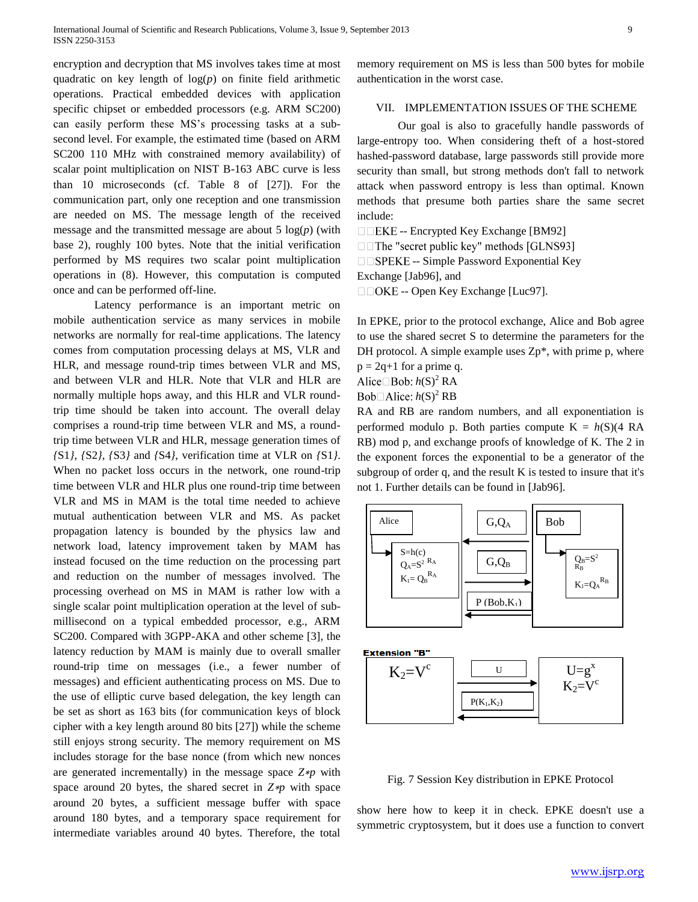encryption and decryption that MS involves takes time at most quadratic on key length of  $log(p)$  on finite field arithmetic operations. Practical embedded devices with application specific chipset or embedded processors (e.g. ARM SC200) can easily perform these MS's processing tasks at a subsecond level. For example, the estimated time (based on ARM SC200 110 MHz with constrained memory availability) of scalar point multiplication on NIST B-163 ABC curve is less than 10 microseconds (cf. Table 8 of [27]). For the communication part, only one reception and one transmission are needed on MS. The message length of the received message and the transmitted message are about  $5 \log(p)$  (with base 2), roughly 100 bytes. Note that the initial verification performed by MS requires two scalar point multiplication operations in (8). However, this computation is computed once and can be performed off-line.

Latency performance is an important metric on mobile authentication service as many services in mobile networks are normally for real-time applications. The latency comes from computation processing delays at MS, VLR and HLR, and message round-trip times between VLR and MS, and between VLR and HLR. Note that VLR and HLR are normally multiple hops away, and this HLR and VLR roundtrip time should be taken into account. The overall delay comprises a round-trip time between VLR and MS, a roundtrip time between VLR and HLR, message generation times of *{*S1*}*, *{*S2*}*, *{*S3*}* and *{*S4*}*, verification time at VLR on *{*S1*}*. When no packet loss occurs in the network, one round-trip time between VLR and HLR plus one round-trip time between VLR and MS in MAM is the total time needed to achieve mutual authentication between VLR and MS. As packet propagation latency is bounded by the physics law and network load, latency improvement taken by MAM has instead focused on the time reduction on the processing part and reduction on the number of messages involved. The processing overhead on MS in MAM is rather low with a single scalar point multiplication operation at the level of submillisecond on a typical embedded processor, e.g., ARM SC200. Compared with 3GPP-AKA and other scheme [3], the latency reduction by MAM is mainly due to overall smaller round-trip time on messages (i.e., a fewer number of messages) and efficient authenticating process on MS. Due to the use of elliptic curve based delegation, the key length can be set as short as 163 bits (for communication keys of block cipher with a key length around 80 bits [27]) while the scheme still enjoys strong security. The memory requirement on MS includes storage for the base nonce (from which new nonces are generated incrementally) in the message space *Z*∗*p* with space around 20 bytes, the shared secret in *Z*∗*p* with space around 20 bytes, a sufficient message buffer with space around 180 bytes, and a temporary space requirement for intermediate variables around 40 bytes. Therefore, the total

memory requirement on MS is less than 500 bytes for mobile authentication in the worst case.

#### VII. IMPLEMENTATION ISSUES OF THE SCHEME

Our goal is also to gracefully handle passwords of large-entropy too. When considering theft of a host-stored hashed-password database, large passwords still provide more security than small, but strong methods don't fall to network attack when password entropy is less than optimal. Known methods that presume both parties share the same secret include:

 $\Box$  EKE -- Encrypted Key Exchange [BM92]

 $\Box$  The "secret public key" methods [GLNS93]

 $\square$  SPEKE -- Simple Password Exponential Key

Exchange [Jab96], and

 $\Box$  OKE -- Open Key Exchange [Luc97].

In EPKE, prior to the protocol exchange, Alice and Bob agree to use the shared secret S to determine the parameters for the DH protocol. A simple example uses  $Zp^*$ , with prime p, where  $p = 2q+1$  for a prime q.

Alice  $\Box$  Bob:  $h(S)^2$  RA

 $Bob\Box$ *Alice:*  $h(S)^2$  *RB* 

RA and RB are random numbers, and all exponentiation is performed modulo p. Both parties compute  $K = h(S)(4 RA)$ RB) mod p, and exchange proofs of knowledge of K. The 2 in the exponent forces the exponential to be a generator of the subgroup of order q, and the result K is tested to insure that it's not 1. Further details can be found in [Jab96].





Fig. 7 Session Key distribution in EPKE Protocol

show here how to keep it in check. EPKE doesn't use a symmetric cryptosystem, but it does use a function to convert